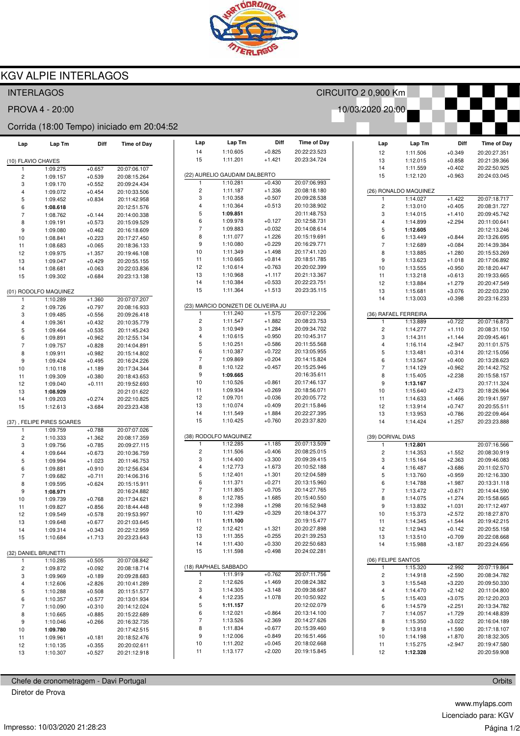

CIRCUITO 2 0,900 Km

10/03/2020 20:00

 $Lap$ 

Lap Tm

Diff

Time of Day

## **KGV ALPIE INTERLAGOS**

### **INTERLAGOS**

PROVA 4 - 20:00

#### Corrida (18:00 Tempo) iniciado em 20:04:52

| Lap                     | Lap Tm                    | Diff                 | <b>Time of Day</b>           | Lap                          | Lap Tm                                          | Diff                 | <b>Time of Day</b>           |
|-------------------------|---------------------------|----------------------|------------------------------|------------------------------|-------------------------------------------------|----------------------|------------------------------|
|                         |                           |                      |                              | 14                           | 1:10.605                                        | $+0.825$             | 20:22:23.523                 |
| (10) FLAVIO CHAVES      |                           |                      |                              | 15                           | 1:11.201                                        | $+1.421$             | 20:23:34.724                 |
| 1                       | 1:09.275                  | $+0.657$             | 20:07:06.107                 |                              |                                                 |                      |                              |
| 2                       | 1:09.157                  | $+0.539$             | 20:08:15.264                 |                              | (22) AURELIO GAUDAIM DALBERTO                   |                      |                              |
| 3                       | 1:09.170                  | $+0.552$             | 20:09:24.434                 | 1<br>$\overline{\mathbf{c}}$ | 1:10.281<br>1:11.187                            | $+0.430$<br>$+1.336$ | 20:07:06.993                 |
| 4                       | 1:09.072                  | $+0.454$             | 20:10:33.506                 | 3                            | 1:10.358                                        | $+0.507$             | 20:08:18.180<br>20:09:28.538 |
| 5                       | 1:09.452                  | $+0.834$             | 20:11:42.958                 | 4                            | 1:10.364                                        | $+0.513$             | 20:10:38.902                 |
| 6<br>$\overline{7}$     | 1:08.618<br>1:08.762      | $+0.144$             | 20:12:51.576<br>20:14:00.338 | 5                            | 1:09.851                                        |                      | 20:11:48.753                 |
| 8                       | 1:09.191                  | $+0.573$             | 20:15:09.529                 | 6                            | 1:09.978                                        | $+0.127$             | 20:12:58.731                 |
| 9                       | 1:09.080                  | $+0.462$             | 20:16:18.609                 | $\overline{7}$               | 1:09.883                                        | $+0.032$             | 20:14:08.614                 |
| 10                      | 1:08.841                  | $+0.223$             | 20:17:27.450                 | 8                            | 1:11.077                                        | $+1.226$             | 20:15:19.691                 |
| 11                      | 1:08.683                  | $+0.065$             | 20:18:36.133                 | 9                            | 1:10.080                                        | $+0.229$             | 20:16:29.771                 |
| 12                      | 1:09.975                  | $+1.357$             | 20:19:46.108                 | 10                           | 1:11.349                                        | $+1.498$             | 20:17:41.120                 |
| 13                      | 1:09.047                  | $+0.429$             | 20:20:55.155                 | 11                           | 1:10.665                                        | $+0.814$             | 20:18:51.785                 |
| 14                      | 1:08.681                  | $+0.063$             | 20:22:03.836                 | 12                           | 1:10.614                                        | $+0.763$             | 20:20:02.399                 |
| 15                      | 1:09.302                  | $+0.684$             | 20:23:13.138                 | 13                           | 1:10.968                                        | $+1.117$             | 20:21:13.367                 |
|                         |                           |                      |                              | 14                           | 1:10.384                                        | $+0.533$             | 20:22:23.751                 |
|                         | (01) RODOLFO MAQUINEZ     |                      |                              | 15                           | 1:11.364                                        | $+1.513$             | 20:23:35.115                 |
| 1                       | 1:10.289                  | $+1.360$             | 20:07:07.207                 |                              |                                                 |                      |                              |
| $\overline{\mathbf{c}}$ | 1:09.726                  | $+0.797$             | 20:08:16.933                 | 1                            | (23) MARCIO DONIZETI DE OLIVEIRA JU<br>1:11.240 | $+1.575$             | 20:07:12.206                 |
| 3                       | 1:09.485                  | $+0.556$             | 20:09:26.418                 | 2                            | 1:11.547                                        | $+1.882$             | 20:08:23.753                 |
| 4                       | 1:09.361                  | $+0.432$             | 20:10:35.779                 | 3                            | 1:10.949                                        | $+1.284$             | 20:09:34.702                 |
| 5<br>6                  | 1:09.464                  | $+0.535$             | 20:11:45.243<br>20:12:55.134 | 4                            | 1:10.615                                        | $+0.950$             | 20:10:45.317                 |
| $\overline{7}$          | 1:09.891<br>1:09.757      | $+0.962$<br>$+0.828$ | 20:14:04.891                 | 5                            | 1:10.251                                        | $+0.586$             | 20:11:55.568                 |
| 8                       | 1:09.911                  | $+0.982$             | 20:15:14.802                 | 6                            | 1:10.387                                        | $+0.722$             | 20:13:05.955                 |
| 9                       | 1:09.424                  | $+0.495$             | 20:16:24.226                 | $\overline{7}$               | 1:09.869                                        | $+0.204$             | 20:14:15.824                 |
| 10                      | 1:10.118                  | $+1.189$             | 20:17:34.344                 | 8                            | 1:10.122                                        | $+0.457$             | 20:15:25.946                 |
| 11                      | 1:09.309                  | $+0.380$             | 20:18:43.653                 | 9                            | 1:09.665                                        |                      | 20:16:35.611                 |
| 12                      | 1:09.040                  | $+0.111$             | 20:19:52.693                 | 10                           | 1:10.526                                        | $+0.861$             | 20:17:46.137                 |
| 13                      | 1:08.929                  |                      | 20:21:01.622                 | 11                           | 1:09.934                                        | $+0.269$             | 20:18:56.071                 |
| 14                      | 1:09.203                  | $+0.274$             | 20:22:10.825                 | 12                           | 1:09.701                                        | $+0.036$             | 20:20:05.772                 |
| 15                      | 1:12.613                  | $+3.684$             | 20:23:23.438                 | 13                           | 1:10.074                                        | $+0.409$             | 20:21:15.846                 |
|                         |                           |                      |                              | 14                           | 1:11.549                                        | $+1.884$             | 20:22:27.395                 |
|                         | (37), FELIPE PIRES SOARES |                      |                              | 15                           | 1:10.425                                        | $+0.760$             | 20:23:37.820                 |
| 1                       | 1:09.759                  | $+0.788$             | 20:07:07.026                 |                              |                                                 |                      |                              |
| $\overline{\mathbf{c}}$ | 1:10.333                  | $+1.362$             | 20:08:17.359                 | 1                            | (38) RODOLFO MAQUINEZ<br>1:12.285               | $+1.185$             | 20:07:13.509                 |
| 3                       | 1:09.756                  | $+0.785$             | 20:09:27.115                 | $\overline{\mathbf{c}}$      | 1:11.506                                        | $+0.406$             | 20:08:25.015                 |
| 4<br>5                  | 1:09.644                  | $+0.673$             | 20:10:36.759                 | 3                            | 1:14.400                                        | $+3.300$             | 20:09:39.415                 |
| 6                       | 1:09.994<br>1:09.881      | $+1.023$<br>$+0.910$ | 20:11:46.753<br>20:12:56.634 | 4                            | 1:12.773                                        | $+1.673$             | 20:10:52.188                 |
| $\overline{7}$          | 1:09.682                  | $+0.711$             | 20:14:06.316                 | 5                            | 1:12.401                                        | $+1.301$             | 20:12:04.589                 |
| 8                       | 1:09.595                  | $+0.624$             | 20:15:15.911                 | 6                            | 1:11.371                                        | $+0.271$             | 20:13:15.960                 |
| 9                       | 1:08.971                  |                      | 20:16:24.882                 | $\overline{7}$               | 1:11.805                                        | $+0.705$             | 20:14:27.765                 |
| 10                      | 1:09.739                  | $+0.768$             | 20:17:34.621                 | 8                            | 1:12.785                                        | $+1.685$             | 20:15:40.550                 |
| 11                      | 1:09.827                  | $+0.856$             | 20:18:44.448                 | 9                            | 1:12.398                                        | $+1.298$             | 20:16:52.948                 |
| 12                      | 1:09.549                  | $+0.578$             | 20:19:53.997                 | 10                           | 1:11.429                                        | $+0.329$             | 20:18:04.377                 |
| 13                      | 1:09.648                  | $+0.677$             | 20:21:03.645                 | 11                           | 1:11.100                                        |                      | 20:19:15.477                 |
| 14                      | 1:09.314                  | $+0.343$             | 20:22:12.959                 | 12                           | 1:12.421                                        | $+1.321$             | 20:20:27.898                 |
| 15                      | 1:10.684                  | $+1.713$             | 20:23:23.643                 | 13                           | 1:11.355                                        | $+0.255$             | 20:21:39.253                 |
|                         |                           |                      |                              | 14                           | 1:11.430                                        | $+0.330$             | 20:22:50.683                 |
|                         | (32) DANIEL BRUNETTI      |                      |                              | 15                           | 1:11.598                                        | $+0.498$             | 20:24:02.281                 |
| 1                       | 1:10.285                  | $+0.505$             | 20:07:08.842                 |                              | (18) RAPHAEL SABBADO                            |                      |                              |
| 2                       | 1:09.872                  | $+0.092$             | 20:08:18.714                 | 1                            | 1:11.919                                        | $+0.762$             | 20:07:11.756                 |
| 3                       | 1:09.969                  | $+0.189$             | 20:09:28.683                 | 2                            | 1:12.626                                        | $+1.469$             | 20:08:24.382                 |
| 4<br>5                  | 1:12.606                  | $+2.826$<br>$+0.508$ | 20:10:41.289<br>20:11:51.577 | 3                            | 1:14.305                                        | $+3.148$             | 20:09:38.687                 |
| 6                       | 1:10.288<br>1:10.357      | $+0.577$             | 20:13:01.934                 | 4                            | 1:12.235                                        | $+1.078$             | 20:10:50.922                 |
| $\overline{7}$          | 1:10.090                  | $+0.310$             | 20:14:12.024                 | 5                            | 1:11.157                                        |                      | 20:12:02.079                 |
| 8                       | 1:10.665                  | $+0.885$             | 20:15:22.689                 | 6                            | 1:12.021                                        | $+0.864$             | 20:13:14.100                 |
| 9                       | 1:10.046                  | $+0.266$             | 20:16:32.735                 | 7                            | 1:13.526                                        | $+2.369$             | 20:14:27.626                 |
| 10                      | 1:09.780                  |                      | 20:17:42.515                 | 8                            | 1:11.834                                        | $+0.677$             | 20:15:39.460                 |
| 11                      | 1:09.961                  | $+0.181$             | 20:18:52.476                 | 9                            | 1:12.006                                        | $+0.849$             | 20:16:51.466                 |
| 12                      | 1:10.135                  | $+0.355$             | 20:20:02.611                 | 10                           | 1:11.202                                        | $+0.045$             | 20:18:02.668                 |
| 13                      | 1:10.307                  | $+0.527$             | 20:21:12.918                 | 11                           | 1:13.177                                        | $+2.020$             | 20:19:15.845                 |
|                         |                           |                      |                              |                              |                                                 |                      |                              |

## Chefe de cronometragem - Davi Portugal

Diretor de Prova

| 12                    | 1:11.506             | $+0.349$             | 20:20:27.351 |  |  |  |  |  |
|-----------------------|----------------------|----------------------|--------------|--|--|--|--|--|
| 13                    | 1:12.015             | $+0.858$             | 20:21:39.366 |  |  |  |  |  |
| 14                    | 1:11.559             | +0.402               | 20:22:50.925 |  |  |  |  |  |
| 15                    | 1:12.120             | +0.963               | 20:24:03.045 |  |  |  |  |  |
|                       |                      |                      |              |  |  |  |  |  |
| (26) RONALDO MAQUINEZ |                      |                      |              |  |  |  |  |  |
| 1                     | 1:14.027             | +1.422               | 20:07:18.717 |  |  |  |  |  |
| 2                     | 1:13.010             | $+0.405$             | 20:08:31.727 |  |  |  |  |  |
| 3                     | 1:14.015             | $+1.410$             | 20:09:45.742 |  |  |  |  |  |
| 4                     | 1:14.899             | $+2.294$             | 20:11:00.641 |  |  |  |  |  |
| 5                     | 1:12.605             |                      | 20:12:13.246 |  |  |  |  |  |
| 6                     | 1:13.449             | $+0.844$             | 20:13:26.695 |  |  |  |  |  |
| 7                     | 1:12.689<br>1:13.885 | $+0.084$<br>$+1.280$ | 20:14:39.384 |  |  |  |  |  |
| 8                     |                      |                      | 20:15:53.269 |  |  |  |  |  |
| 9                     | 1:13.623             | $+1.018$             | 20:17:06.892 |  |  |  |  |  |
| 10                    | 1:13.555             | $+0.950$             | 20:18:20.447 |  |  |  |  |  |
| 11                    | 1:13.218             | $+0.613$             | 20:19:33.665 |  |  |  |  |  |
| 12                    | 1:13.884             | $+1.279$             | 20:20:47.549 |  |  |  |  |  |
| 13                    | 1:15.681             | $+3.076$             | 20:22:03.230 |  |  |  |  |  |
| 14                    | 1:13.003             | $+0.398$             | 20:23:16.233 |  |  |  |  |  |
| (36) RAFAEL FERREIRA  |                      |                      |              |  |  |  |  |  |
| 1                     | 1:13.889             | $+0.722$             | 20:07:16.873 |  |  |  |  |  |
| 2                     | 1:14.277             | $+1.110$             | 20:08:31.150 |  |  |  |  |  |
| 3                     | 1:14.311             | +1.144               | 20:09:45.461 |  |  |  |  |  |
| 4                     | 1:16.114             | $+2.947$             | 20:11:01.575 |  |  |  |  |  |
| 5                     | 1:13.481             | $+0.314$             | 20:12:15.056 |  |  |  |  |  |
| 6                     | 1:13.567             | $+0.400$             | 20:13:28.623 |  |  |  |  |  |
| 7                     | 1:14.129             | $+0.962$             | 20:14:42.752 |  |  |  |  |  |
| 8                     | 1:15.405             | $+2.238$             | 20:15:58.157 |  |  |  |  |  |
| 9                     | 1:13.167             |                      | 20:17:11.324 |  |  |  |  |  |
| 10                    | 1:15.640             | +2.473               | 20:18:26.964 |  |  |  |  |  |
| 11                    | 1:14.633             | $+1.466$             | 20:19:41.597 |  |  |  |  |  |
| 12                    | 1:13.914             | $+0.747$             | 20:20:55.511 |  |  |  |  |  |
| 13                    | 1:13.953             | $+0.786$             | 20:22:09.464 |  |  |  |  |  |
| 14                    | 1:14.424             | $+1.257$             | 20:23:23.888 |  |  |  |  |  |
| (39) DORIVAL DIAS     |                      |                      |              |  |  |  |  |  |
| 1                     | 1:12.801             |                      | 20:07:16.566 |  |  |  |  |  |
| 2                     | 1:14.353             | $+1.552$             | 20:08:30.919 |  |  |  |  |  |
| 3                     | 1:15.164             | $+2.363$             | 20:09:46.083 |  |  |  |  |  |
| 4                     | 1:16.487             | $+3.686$             | 20:11:02.570 |  |  |  |  |  |
| 5                     | 1:13.760             | $+0.959$             | 20:12:16.330 |  |  |  |  |  |
| 6                     | 1:14.788             | $+1.987$             | 20:13:31.118 |  |  |  |  |  |
| 7                     | 1:13.472             | $+0.671$             | 20:14:44.590 |  |  |  |  |  |
| 8                     | 1:14.075             | +1.274               | 20:15:58.665 |  |  |  |  |  |
| 9                     | 1:13.832             | $+1.031$             | 20:17:12.497 |  |  |  |  |  |
| 10                    | 1:15.373             | $+2.572$             | 20:18:27.870 |  |  |  |  |  |
| 11                    | 1:14.345             | $+1.544$             | 20:19:42.215 |  |  |  |  |  |
| 12                    | 1:12.943             | $+0.142$             | 20:20:55.158 |  |  |  |  |  |
| 13                    | 1:13.510             | $+0.709$             | 20:22:08.668 |  |  |  |  |  |
| 14                    | 1:15.988             | $+3.187$             | 20:23:24.656 |  |  |  |  |  |
|                       |                      |                      |              |  |  |  |  |  |
| (06) FELIPE SANTOS    |                      |                      |              |  |  |  |  |  |
| 1                     | 1:15.320             | $+2.992$             | 20:07:19.864 |  |  |  |  |  |
| 2                     | 1:14.918             | $+2.590$             | 20:08:34.782 |  |  |  |  |  |
| 3                     | 1:15.548             | $+3.220$             | 20:09:50.330 |  |  |  |  |  |
| 4                     | 1:14.470             | $+2.142$             | 20:11:04.800 |  |  |  |  |  |
| 5                     | 1:15.403             | $+3.075$             | 20:12:20.203 |  |  |  |  |  |
| 6                     | 1:14.579             | $+2.251$             | 20:13:34.782 |  |  |  |  |  |
| $\overline{7}$        | 1:14.057             | $+1.729$             | 20:14:48.839 |  |  |  |  |  |
| 8                     | 1:15.350             | $+3.022$             | 20:16:04.189 |  |  |  |  |  |
| 9                     | 1:13.918             | $+1.590$             | 20:17:18.107 |  |  |  |  |  |
| 10                    | 1:14.198             | $+1.870$             | 20:18:32.305 |  |  |  |  |  |
| 11                    | 1:15.275             | $+2.947$             | 20:19:47.580 |  |  |  |  |  |
| 12                    | 1:12.328             |                      | 20:20:59.908 |  |  |  |  |  |

Orbits